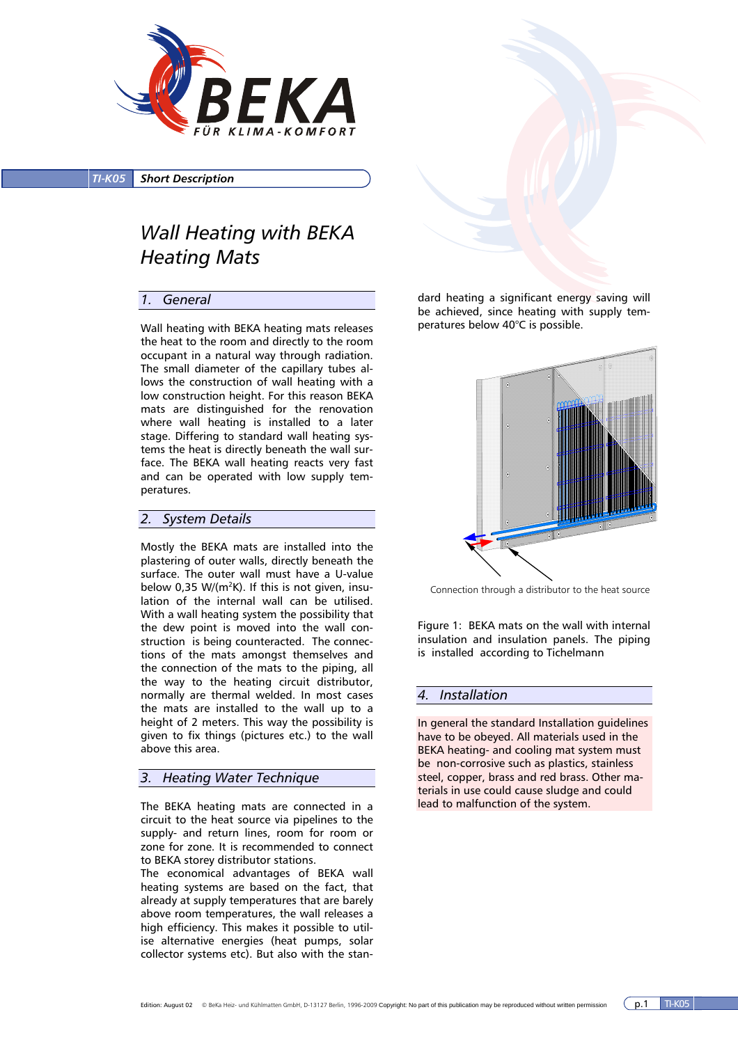

*TI-K05 Short Description*

# *Wall Heating with BEKA Heating Mats*

### *1. General*

Wall heating with BEKA heating mats releases the heat to the room and directly to the room occupant in a natural way through radiation. The small diameter of the capillary tubes allows the construction of wall heating with a low construction height. For this reason BEKA mats are distinguished for the renovation where wall heating is installed to a later stage. Differing to standard wall heating systems the heat is directly beneath the wall surface. The BEKA wall heating reacts very fast and can be operated with low supply temperatures.

### *2. System Details*

Mostly the BEKA mats are installed into the plastering of outer walls, directly beneath the surface. The outer wall must have a U-value below 0,35 W/( $m^2K$ ). If this is not given, insulation of the internal wall can be utilised. With a wall heating system the possibility that the dew point is moved into the wall construction is being counteracted. The connections of the mats amongst themselves and the connection of the mats to the piping, all the way to the heating circuit distributor, normally are thermal welded. In most cases the mats are installed to the wall up to a height of 2 meters. This way the possibility is given to fix things (pictures etc.) to the wall above this area.

## *3. Heating Water Technique*

The BEKA heating mats are connected in a circuit to the heat source via pipelines to the supply- and return lines, room for room or zone for zone. It is recommended to connect to BEKA storey distributor stations.

The economical advantages of BEKA wall heating systems are based on the fact, that already at supply temperatures that are barely above room temperatures, the wall releases a high efficiency. This makes it possible to utilise alternative energies (heat pumps, solar collector systems etc). But also with the stan-

dard heating a significant energy saving will be achieved, since heating with supply temperatures below 40°C is possible.



Connection through a distributor to the heat source

Figure 1: BEKA mats on the wall with internal insulation and insulation panels. The piping is installed according to Tichelmann

### *4. Installation*

In general the standard Installation guidelines have to be obeyed. All materials used in the BEKA heating- and cooling mat system must be non-corrosive such as plastics, stainless steel, copper, brass and red brass. Other materials in use could cause sludge and could lead to malfunction of the system.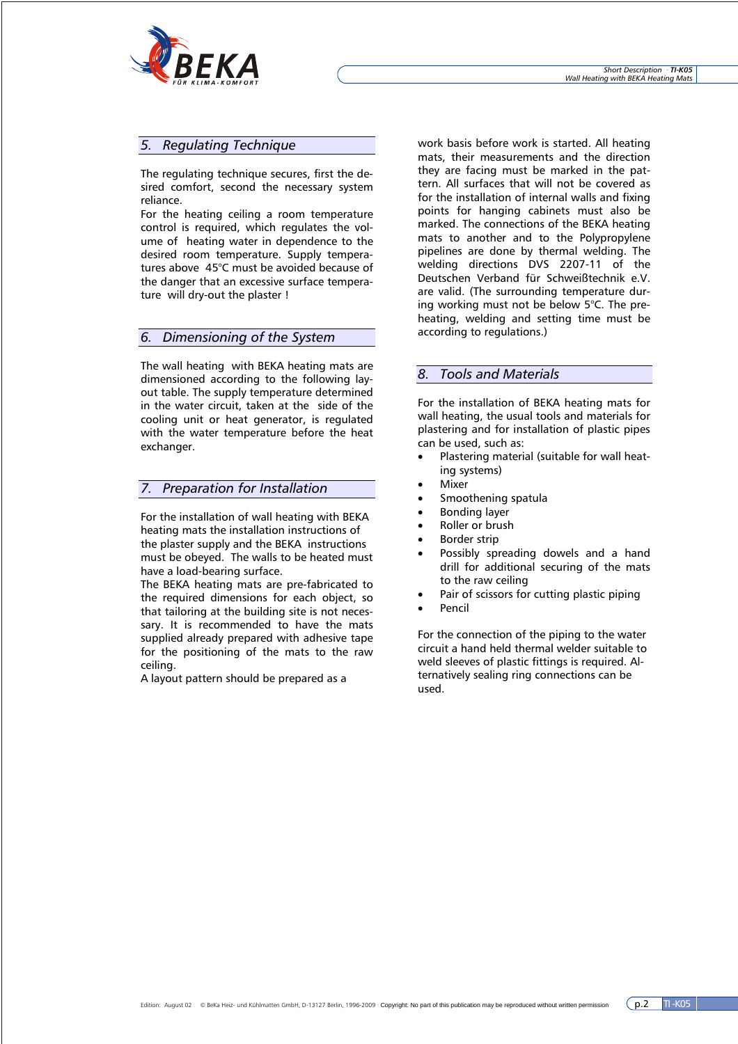

# *5. Regulating Technique*

The regulating technique secures, first the desired comfort, second the necessary system reliance.

For the heating ceiling a room temperature control is required, which regulates the volume of heating water in dependence to the desired room temperature. Supply temperatures above 45°C must be avoided because of the danger that an excessive surface temperature will dry-out the plaster !

### *6. Dimensioning of the System*

The wall heating with BEKA heating mats are dimensioned according to the following layout table. The supply temperature determined in the water circuit, taken at the side of the cooling unit or heat generator, is regulated with the water temperature before the heat exchanger.

### *7. Preparation for Installation*

For the installation of wall heating with BEKA heating mats the installation instructions of the plaster supply and the BEKA instructions must be obeyed. The walls to be heated must have a load-bearing surface.

The BEKA heating mats are pre-fabricated to the required dimensions for each object, so that tailoring at the building site is not necessary. It is recommended to have the mats supplied already prepared with adhesive tape for the positioning of the mats to the raw ceiling.

A layout pattern should be prepared as a

work basis before work is started. All heating mats, their measurements and the direction they are facing must be marked in the pattern. All surfaces that will not be covered as for the installation of internal walls and fixing points for hanging cabinets must also be marked. The connections of the BEKA heating mats to another and to the Polypropylene pipelines are done by thermal welding. The welding directions DVS 2207-11 of the Deutschen Verband für Schweißtechnik e.V. are valid. (The surrounding temperature during working must not be below 5°C. The preheating, welding and setting time must be according to regulations.)

# *8. Tools and Materials*

For the installation of BEKA heating mats for wall heating, the usual tools and materials for plastering and for installation of plastic pipes can be used, such as:

- Plastering material (suitable for wall heating systems)
- **Mixer**
- Smoothening spatula
- Bonding layer
- Roller or brush
- Border strip
- Possibly spreading dowels and a hand drill for additional securing of the mats to the raw ceiling
- Pair of scissors for cutting plastic piping
- Pencil

For the connection of the piping to the water circuit a hand held thermal welder suitable to weld sleeves of plastic fittings is required. Alternatively sealing ring connections can be used.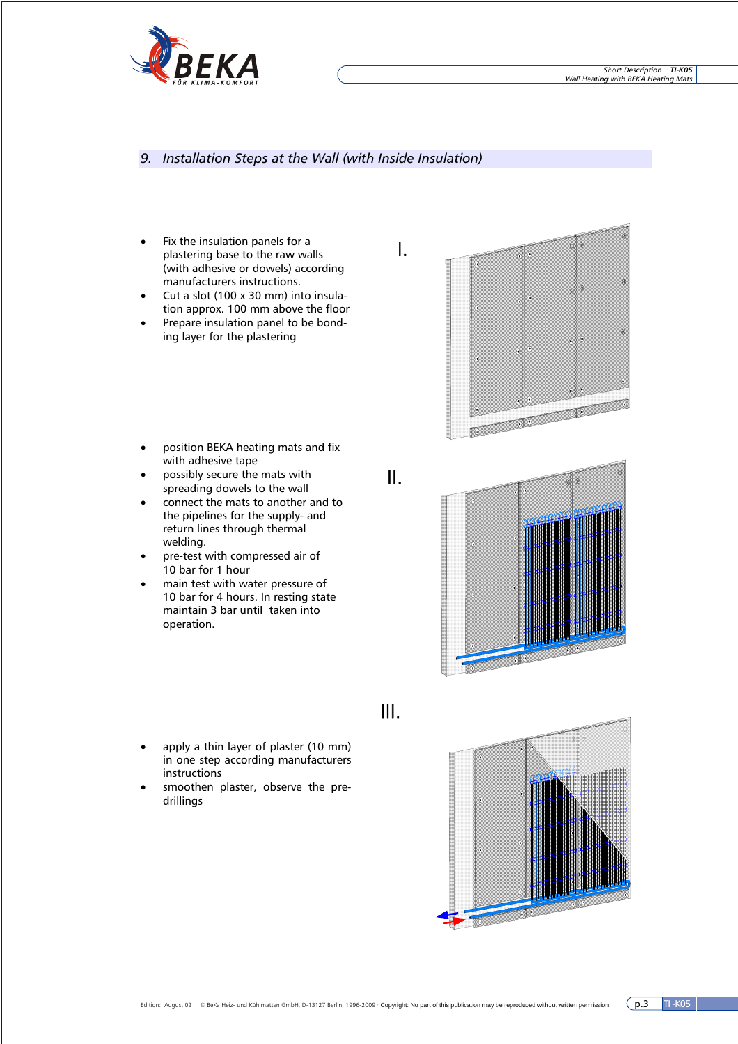

# *9. Installation Steps at the Wall (with Inside Insulation)*

- Fix the insulation panels for a plastering base to the raw walls (with adhesive or dowels) according manufacturers instructions.
- Cut a slot (100 x 30 mm) into insulation approx. 100 mm above the floor
- Prepare insulation panel to be bonding layer for the plastering
- position BEKA heating mats and fix with adhesive tape
- possibly secure the mats with spreading dowels to the wall
- connect the mats to another and to the pipelines for the supply- and return lines through thermal welding.
- pre-test with compressed air of 10 bar for 1 hour
- main test with water pressure of 10 bar for 4 hours. In resting state maintain 3 bar until taken into operation.
- II.

I.









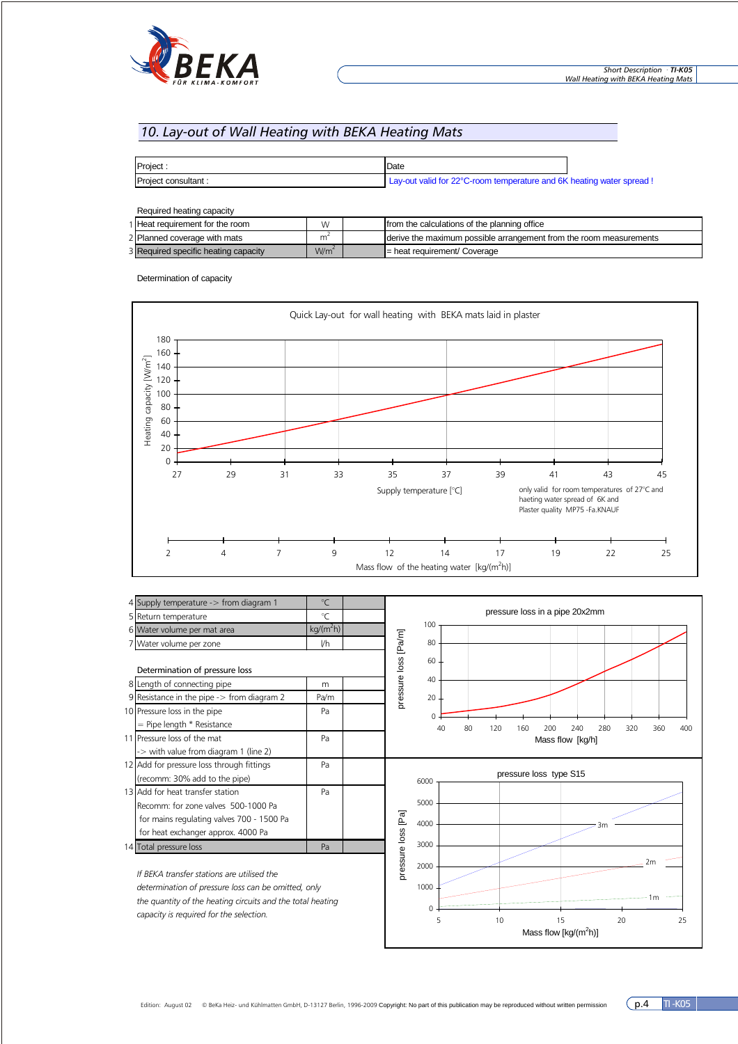

# *10. Lay-out of Wall Heating with BEKA Heating Mats*

| Project:            | Date                                                                  |  |
|---------------------|-----------------------------------------------------------------------|--|
| Project consultant: | Lay-out valid for 22°C-room temperature and 6K heating water spread ! |  |

| Required heating capacity            |                  |                                                                    |
|--------------------------------------|------------------|--------------------------------------------------------------------|
| 1 Heat requirement for the room      | W                | from the calculations of the planning office                       |
| 2 Planned coverage with mats         | m                | derive the maximum possible arrangement from the room measurements |
| 3 Required specific heating capacity | W/m <sup>2</sup> | I = heat requirement/ Coverage                                     |

Determination of capacity